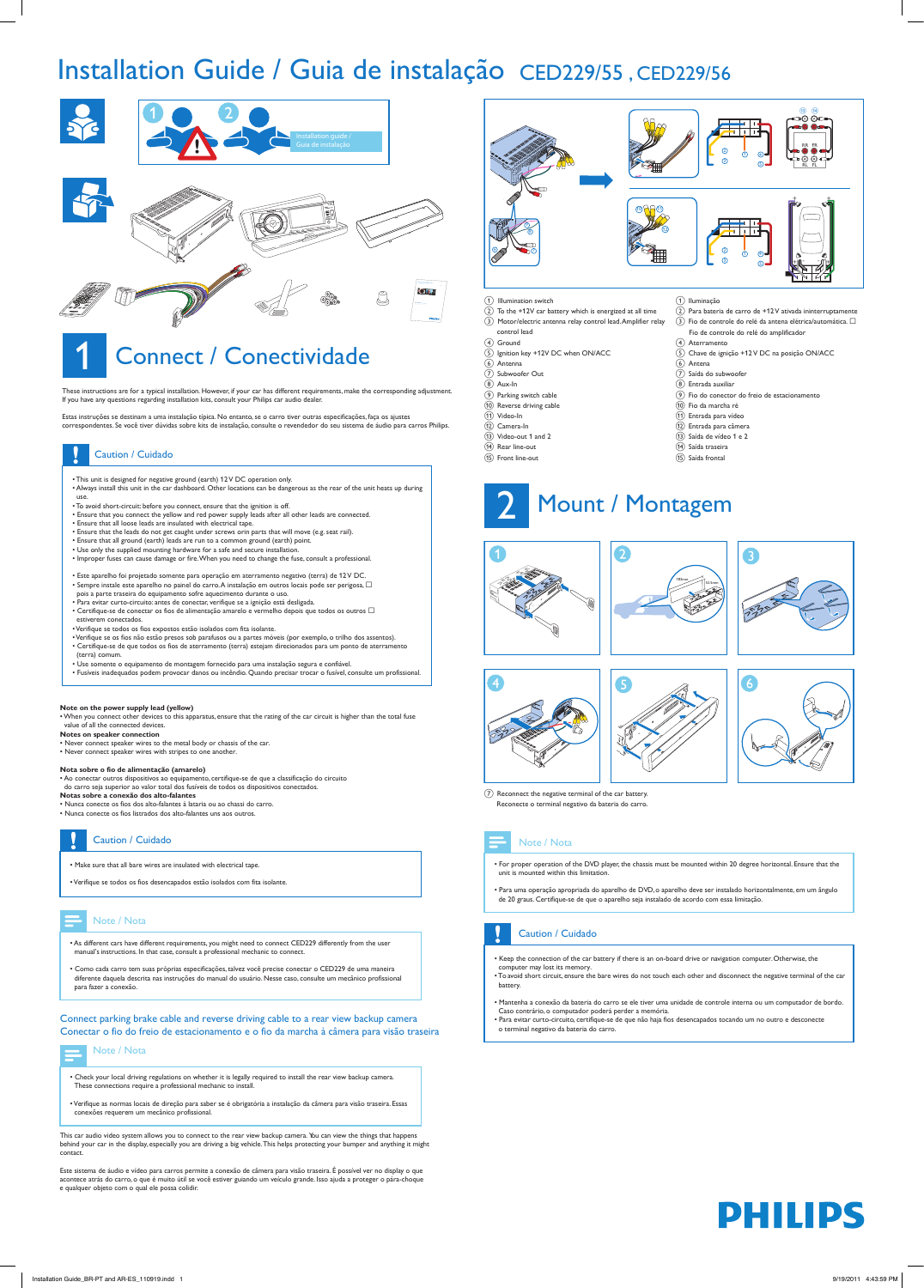



These instructions are for a typical installation. However, if your car has different requirements, make the corresponding adjustment. If you have any questions regarding installation kits, consult your Philips car audio dealer.

Estas instruções se destinam a uma instalação típica. No entanto, se o carro tiver outras especificações, faça os ajustes correspondentes. Se você tiver dúvidas sobre kits de instalação, consulte o revendedor do seu sistema de áudio para carros Philips.

- This unit is designed for negative ground (earth) 12 V DC operation only. • Always install this unit in the car dashboard. Other locations can be dangerous as the rear of the unit heats up during
- use.
- To avoid short-circuit: before you connect, ensure that the ignition is off.
- Ensure that you connect the yellow and red power supply leads after all other leads are connected.
- Ensure that all loose leads are insulated with electrical tape. • Ensure that the leads do not get caught under screws orin parts that will move (e.g. seat rail).
- Ensure that all ground (earth) leads are run to a common ground (earth) point.
- Use only the supplied mounting hardware for a safe and secure installation.
- Improper fuses can cause damage or fire. When you need to change the fuse, consult a professional.
- Este aparelho foi projetado somente para operação em aterramento negativo (terra) de 12 V DC.
- Sempre instale este aparelho no painel do carro. A instalação em outros locais pode ser perigosa,  $\Box$ pois a parte traseira do equipamento sofre aquecimento durante o uso.
- Para evitar curto-circuito: antes de conectar, verifique se a ignição está desligada.
- $\bullet$  Certifique-se de conectar os fios de alimentação amarelo e vermelho depois que todos os outros  $\Box$ estiverem conectados.
- Verifique se todos os fios expostos estão isolados com fita isolante.
- Verifique se os fios não estão presos sob parafusos ou a partes móveis (por exemplo, o trilho dos assentos). • Certifique-se de que todos os fios de aterramento (terra) estejam direcionados para um ponto de aterramento (terra) comum.
- Use somente o equipamento de montagem fornecido para uma instalação segura e confiável.
- Fusíveis inadequados podem provocar danos ou incêndio. Quando precisar trocar o fusível, consulte um profissional.

# Caution / Cuidado

### **Note on the power supply lead (yellow)**

• When you connect other devices to this apparatus, ensure that the rating of the car circuit is higher than the total fuse value of all the connected devices.

- **Notes on speaker connection**
- Never connect speaker wires to the metal body or chassis of the car.
- Never connect speaker wires with stripes to one another.

#### **Nota sobre o fio de alimentação (amarelo)**

 $\overline{2}$  Reconnect the negative terminal of the car battery. Reconecte o terminal negativo da bateria do carro.

- Ao conectar outros dispositivos ao equipamento, certifique-se de que a classificação do circuito do carro seja superior ao valor total dos fusíveis de todos os dispositivos conectados. **Notas sobre a conexão dos alto-falantes**
- Nunca conecte os fios dos alto-falantes à lataria ou ao chassi do carro.
- Nunca conecte os fios listrados dos alto-falantes uns aos outros.

• Make sure that all bare wires are insulated with electrical tape.

• Verifique se todos os fios desencapados estão isolados com fita isolante.

# Installation Guide / Guia de instalação CED229/55 , CED229/56

- As different cars have different requirements, you might need to connect CED229 differently from the user manual's instructions. In that case, consult a professional mechanic to connect.
- Como cada carro tem suas próprias especificações, talvez você precise conectar o CED229 de uma maneira diferente daquela descrita nas instruções do manual do usuário. Nesse caso, consulte um mecânico profissional para fazer a conexão.

- 
- 



This car audio video system allows you to connect to the rear view backup camera. You can view the things that happens behind your car in the display, especially you are driving a big vehicle.This helps protecting your bumper and anything it might contact.

Este sistema de áudio e vídeo para carros permite a conexão de câmera para visão traseira. É possível ver no display o que acontece atrás do carro, o que é muito útil se você estiver guiando um veículo grande. Isso ajuda a proteger o pára-choque e qualquer objeto com o qual ele possa colidir.

- Check your local driving regulations on whether it is legally required to install the rear view backup camera. These connections require a professional mechanic to install.
- Verifique as normas locais de direção para saber se é obrigatória a instalação da câmera para visão traseira. Essas conexões requerem um mecânico profissional.

## Note / Nota

Connect parking brake cable and reverse driving cable to a rear view backup camera Conectar o fio do freio de estacionamento e o fio da marcha à câmera para visão traseira



### 1) Illumination switch

- $\widehat{(2)}$  To the +12V car battery which is energized at all time c Motor/electric antenna relay control lead.Amplifier relay
- control lead
- (4) Ground
- 5 Ignition key +12V DC when ON/ACC
- (6) Antenna
- $\overline{2}$  Subwoofer Out
- h Aux-In
- (9) Parking switch cable
- (10) Reverse driving cable
- $(n)$  Video-In
- (12) Camera-In
- $(n)$  Video-out 1 and 2
- (14) Rear line-out
- (15) Front line-out

#### (1) Iluminação  $\widehat{a}$ ) Para bateria de carro de +12 V ativada ininterruptamente

- $\overline{(3)}$  Fio de controle do relé da antena elétrica/automática.  $\Box$
- Fio de controle do relé do amplificador
- (4) Aterramento
- e Chave de ignição +12 V DC na posição ON/ACC
- $(6)$  Antena
- $\overline{7}$ ) Saída do subwoofer
- (8) Entrada auxiliar
- i Fio do conector do freio de estacionamento
- (10) Fio da marcha ré
- (11) Entrada para vídeo
- (12) Entrada para câmera
- $\overline{13}$  Saída de vídeo 1 e 2
- (14) Saída traseira
- (15) Saída frontal

# Mount / Montagem













• For proper operation of the DVD player, the chassis must be mounted within 20 degree horizontal. Ensure that the unit is mounted within this limitation.

• Para uma operação apropriada do aparelho de DVD, o aparelho deve ser instalado horizontalmente, em um ângulo de 20 graus. Certifique-se de que o aparelho seja instalado de acordo com essa limitação.

# Note / Nota

- Keep the connection of the car battery if there is an on-board drive or navigation computer. Otherwise, the computer may lost its memory.
- To avoid short circuit, ensure the bare wires do not touch each other and disconnect the negative terminal of the car battery.
- Mantenha a conexão da bateria do carro se ele tiver uma unidade de controle interna ou um computador de bordo. Caso contrário, o computador poderá perder a memória.
- Para evitar curto-circuito, certifique-se de que não haja fios desencapados tocando um no outro e desconecte o terminal negativo da bateria do carro.

# **PHILIPS**